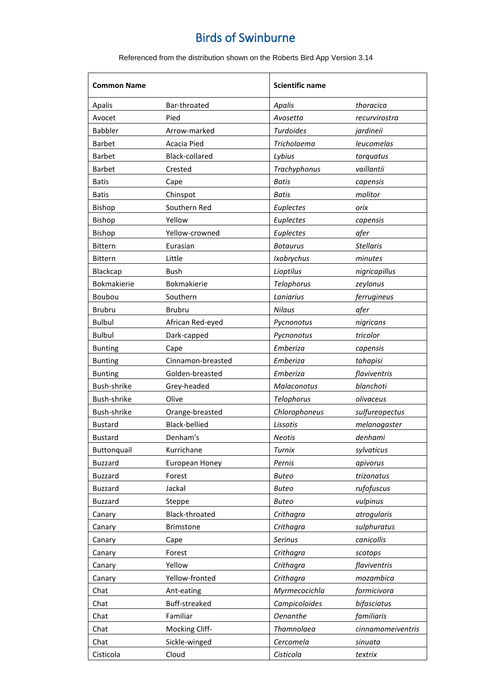| <b>Common Name</b> |                      | <b>Scientific name</b> |                   |
|--------------------|----------------------|------------------------|-------------------|
| Apalis             | Bar-throated         | Apalis                 | thoracica         |
| Avocet             | Pied                 | Avosetta               | recurvirostra     |
| <b>Babbler</b>     | Arrow-marked         | <b>Turdoides</b>       | jardineii         |
| <b>Barbet</b>      | Acacia Pied          | Tricholaema            | leucomelas        |
| <b>Barbet</b>      | Black-collared       | Lybius                 | torquatus         |
| <b>Barbet</b>      | Crested              | Trachyphonus           | vaillantii        |
| <b>Batis</b>       | Cape                 | <b>Batis</b>           | capensis          |
| <b>Batis</b>       | Chinspot             | <b>Batis</b>           | molitor           |
| Bishop             | Southern Red         | Euplectes              | orix              |
| Bishop             | Yellow               | Euplectes              | capensis          |
| Bishop             | Yellow-crowned       | Euplectes              | afer              |
| <b>Bittern</b>     | Eurasian             | <b>Botaurus</b>        | <b>Stellaris</b>  |
| <b>Bittern</b>     | Little               | Ixobrychus             | minutes           |
| Blackcap           | Bush                 | Lioptilus              | nigricapillus     |
| <b>Bokmakierie</b> | <b>Bokmakierie</b>   | Telophorus             | zeylonus          |
| Boubou             | Southern             | Laniarius              | ferrugineus       |
| <b>Brubru</b>      | <b>Brubru</b>        | Nilaus                 | afer              |
| <b>Bulbul</b>      | African Red-eyed     | Pycnonotus             | nigricans         |
| <b>Bulbul</b>      | Dark-capped          | Pycnonotus             | tricolor          |
| <b>Bunting</b>     | Cape                 | Emberiza               | capensis          |
| <b>Bunting</b>     | Cinnamon-breasted    | Emberiza               | tahapisi          |
| <b>Bunting</b>     | Golden-breasted      | Emberiza               | flaviventris      |
| Bush-shrike        | Grey-headed          | Malaconotus            | blanchoti         |
| Bush-shrike        | Olive                | Telophorus             | olivaceus         |
| Bush-shrike        | Orange-breasted      | Chlorophoneus          | sulfureopectus    |
| <b>Bustard</b>     | <b>Black-bellied</b> | Lissotis               | melanogaster      |
| <b>Bustard</b>     | Denham's             | Neotis                 | denhami           |
| Buttonquail        | Kurrichane           | Turnix                 | sylvaticus        |
| <b>Buzzard</b>     | European Honey       | Pernis                 | apivorus          |
| <b>Buzzard</b>     | Forest               | <b>Buteo</b>           | trizonatus        |
| <b>Buzzard</b>     | Jackal               | <b>Buteo</b>           | rufofuscus        |
| <b>Buzzard</b>     | Steppe               | <b>Buteo</b>           | vulpinus          |
| Canary             | Black-throated       | Crithagra              | atrogularis       |
| Canary             | <b>Brimstone</b>     | Crithagra              | sulphuratus       |
| Canary             | Cape                 | <b>Serinus</b>         | canicollis        |
| Canary             | Forest               | Crithagra              | scotops           |
| Canary             | Yellow               | Crithagra              | flaviventris      |
| Canary             | Yellow-fronted       | Crithagra              | mozambica         |
| Chat               | Ant-eating           | Myrmecocichla          | formicivora       |
| Chat               | Buff-streaked        | Campicoloides          | bifasciatus       |
| Chat               | Familiar             | <b>Oenanthe</b>        | familiaris        |
| Chat               | Mocking Cliff-       | Thamnolaea             | cinnamomeiventris |
| Chat               | Sickle-winged        | Cercomela              | sinuata           |
| Cisticola          | Cloud                | Cisticola              | textrix           |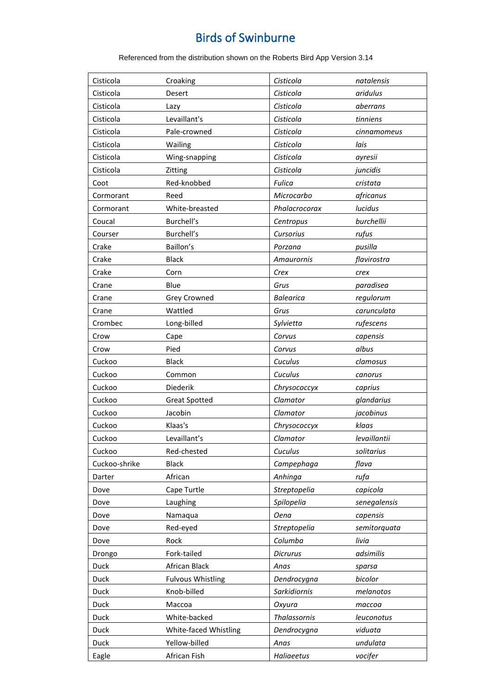| Cisticola<br>Cisticola<br>aridulus<br>Desert<br>Cisticola<br>Cisticola<br>Lazy<br>aberrans<br>Levaillant's<br>Cisticola<br>Cisticola<br>tinniens<br>Cisticola<br>Pale-crowned<br>Cisticola<br>cinnamomeus<br>Cisticola<br>Wailing<br>Cisticola<br>lais<br>Cisticola<br>Cisticola<br>Wing-snapping<br>ayresii<br>Cisticola<br>Cisticola<br>juncidis<br>Zitting<br>Red-knobbed<br>Fulica<br>Coot<br>cristata<br>Microcarbo<br>africanus<br>Cormorant<br>Reed<br>White-breasted<br>Phalacrocorax<br>lucidus<br>Cormorant<br>Burchell's<br>burchellii<br>Coucal<br>Centropus<br>Burchell's<br>Cursorius<br>rufus<br>Courser<br>Baillon's<br>pusilla<br>Crake<br>Porzana<br><b>Black</b><br>Crake<br>flavirostra<br>Amaurornis<br>Crake<br>Corn<br>Crex<br>crex<br>Blue<br>Grus<br>paradisea<br>Crane<br><b>Grey Crowned</b><br><b>Balearica</b><br>regulorum<br>Crane<br>Wattled<br>Grus<br>carunculata<br>Crane<br>Crombec<br>Long-billed<br>Sylvietta<br>rufescens<br>Corvus<br>Crow<br>capensis<br>Cape<br>Pied<br>albus<br>Crow<br>Corvus<br><b>Black</b><br>Cuculus<br>Cuckoo<br>clamosus<br>Cuculus<br>Cuckoo<br>Common<br>canorus<br>Diederik<br>Cuckoo<br>Chrysococcyx<br>caprius<br>Cuckoo<br>Clamator<br><b>Great Spotted</b><br>glandarius<br>Jacobin<br>jacobinus<br>Cuckoo<br>Clamator<br>Cuckoo<br>Klaas's<br>klaas<br>Chrysococcyx<br>Levaillant's<br>Cuckoo<br>Clamator<br>levaillantii<br>Cuckoo<br>Red-chested<br>Cuculus<br>solitarius<br>Cuckoo-shrike<br><b>Black</b><br>Campephaga<br>flava<br>African<br>Darter<br>Anhinga<br>rufa<br>Cape Turtle<br>Streptopelia<br>capicola<br>Dove<br>Dove<br>Laughing<br>Spilopelia<br>senegalensis<br>Dove<br>Namaqua<br><b>Oena</b><br>capensis<br>Red-eyed<br>Streptopelia<br>semitorquata<br>Dove<br>Rock<br>Columba<br>livia<br>Dove<br>Fork-tailed<br>adsimilis<br><b>Dicrurus</b><br>Drongo<br>Duck<br>African Black<br>Anas<br>sparsa<br>Duck<br><b>Fulvous Whistling</b><br>Dendrocygna<br>bicolor<br>Knob-billed<br>Duck<br>Sarkidiornis<br>melanotos<br>Duck<br>Массоа<br>Oxyura<br>тассоа<br><b>Thalassornis</b><br>White-backed<br>Duck<br>leuconotus<br>Duck<br>White-faced Whistling<br>Dendrocygna<br>viduata<br>Yellow-billed<br>Duck<br>undulata<br>Anas |  |
|-----------------------------------------------------------------------------------------------------------------------------------------------------------------------------------------------------------------------------------------------------------------------------------------------------------------------------------------------------------------------------------------------------------------------------------------------------------------------------------------------------------------------------------------------------------------------------------------------------------------------------------------------------------------------------------------------------------------------------------------------------------------------------------------------------------------------------------------------------------------------------------------------------------------------------------------------------------------------------------------------------------------------------------------------------------------------------------------------------------------------------------------------------------------------------------------------------------------------------------------------------------------------------------------------------------------------------------------------------------------------------------------------------------------------------------------------------------------------------------------------------------------------------------------------------------------------------------------------------------------------------------------------------------------------------------------------------------------------------------------------------------------------------------------------------------------------------------------------------------------------------------------------------------------------------------------------------------------------------------------------------------------------------------------------------------------------------------------------------------------------------------------------------------------------------------------------------------------------------------|--|
|                                                                                                                                                                                                                                                                                                                                                                                                                                                                                                                                                                                                                                                                                                                                                                                                                                                                                                                                                                                                                                                                                                                                                                                                                                                                                                                                                                                                                                                                                                                                                                                                                                                                                                                                                                                                                                                                                                                                                                                                                                                                                                                                                                                                                                   |  |
|                                                                                                                                                                                                                                                                                                                                                                                                                                                                                                                                                                                                                                                                                                                                                                                                                                                                                                                                                                                                                                                                                                                                                                                                                                                                                                                                                                                                                                                                                                                                                                                                                                                                                                                                                                                                                                                                                                                                                                                                                                                                                                                                                                                                                                   |  |
|                                                                                                                                                                                                                                                                                                                                                                                                                                                                                                                                                                                                                                                                                                                                                                                                                                                                                                                                                                                                                                                                                                                                                                                                                                                                                                                                                                                                                                                                                                                                                                                                                                                                                                                                                                                                                                                                                                                                                                                                                                                                                                                                                                                                                                   |  |
|                                                                                                                                                                                                                                                                                                                                                                                                                                                                                                                                                                                                                                                                                                                                                                                                                                                                                                                                                                                                                                                                                                                                                                                                                                                                                                                                                                                                                                                                                                                                                                                                                                                                                                                                                                                                                                                                                                                                                                                                                                                                                                                                                                                                                                   |  |
|                                                                                                                                                                                                                                                                                                                                                                                                                                                                                                                                                                                                                                                                                                                                                                                                                                                                                                                                                                                                                                                                                                                                                                                                                                                                                                                                                                                                                                                                                                                                                                                                                                                                                                                                                                                                                                                                                                                                                                                                                                                                                                                                                                                                                                   |  |
|                                                                                                                                                                                                                                                                                                                                                                                                                                                                                                                                                                                                                                                                                                                                                                                                                                                                                                                                                                                                                                                                                                                                                                                                                                                                                                                                                                                                                                                                                                                                                                                                                                                                                                                                                                                                                                                                                                                                                                                                                                                                                                                                                                                                                                   |  |
|                                                                                                                                                                                                                                                                                                                                                                                                                                                                                                                                                                                                                                                                                                                                                                                                                                                                                                                                                                                                                                                                                                                                                                                                                                                                                                                                                                                                                                                                                                                                                                                                                                                                                                                                                                                                                                                                                                                                                                                                                                                                                                                                                                                                                                   |  |
|                                                                                                                                                                                                                                                                                                                                                                                                                                                                                                                                                                                                                                                                                                                                                                                                                                                                                                                                                                                                                                                                                                                                                                                                                                                                                                                                                                                                                                                                                                                                                                                                                                                                                                                                                                                                                                                                                                                                                                                                                                                                                                                                                                                                                                   |  |
|                                                                                                                                                                                                                                                                                                                                                                                                                                                                                                                                                                                                                                                                                                                                                                                                                                                                                                                                                                                                                                                                                                                                                                                                                                                                                                                                                                                                                                                                                                                                                                                                                                                                                                                                                                                                                                                                                                                                                                                                                                                                                                                                                                                                                                   |  |
|                                                                                                                                                                                                                                                                                                                                                                                                                                                                                                                                                                                                                                                                                                                                                                                                                                                                                                                                                                                                                                                                                                                                                                                                                                                                                                                                                                                                                                                                                                                                                                                                                                                                                                                                                                                                                                                                                                                                                                                                                                                                                                                                                                                                                                   |  |
|                                                                                                                                                                                                                                                                                                                                                                                                                                                                                                                                                                                                                                                                                                                                                                                                                                                                                                                                                                                                                                                                                                                                                                                                                                                                                                                                                                                                                                                                                                                                                                                                                                                                                                                                                                                                                                                                                                                                                                                                                                                                                                                                                                                                                                   |  |
|                                                                                                                                                                                                                                                                                                                                                                                                                                                                                                                                                                                                                                                                                                                                                                                                                                                                                                                                                                                                                                                                                                                                                                                                                                                                                                                                                                                                                                                                                                                                                                                                                                                                                                                                                                                                                                                                                                                                                                                                                                                                                                                                                                                                                                   |  |
|                                                                                                                                                                                                                                                                                                                                                                                                                                                                                                                                                                                                                                                                                                                                                                                                                                                                                                                                                                                                                                                                                                                                                                                                                                                                                                                                                                                                                                                                                                                                                                                                                                                                                                                                                                                                                                                                                                                                                                                                                                                                                                                                                                                                                                   |  |
|                                                                                                                                                                                                                                                                                                                                                                                                                                                                                                                                                                                                                                                                                                                                                                                                                                                                                                                                                                                                                                                                                                                                                                                                                                                                                                                                                                                                                                                                                                                                                                                                                                                                                                                                                                                                                                                                                                                                                                                                                                                                                                                                                                                                                                   |  |
|                                                                                                                                                                                                                                                                                                                                                                                                                                                                                                                                                                                                                                                                                                                                                                                                                                                                                                                                                                                                                                                                                                                                                                                                                                                                                                                                                                                                                                                                                                                                                                                                                                                                                                                                                                                                                                                                                                                                                                                                                                                                                                                                                                                                                                   |  |
|                                                                                                                                                                                                                                                                                                                                                                                                                                                                                                                                                                                                                                                                                                                                                                                                                                                                                                                                                                                                                                                                                                                                                                                                                                                                                                                                                                                                                                                                                                                                                                                                                                                                                                                                                                                                                                                                                                                                                                                                                                                                                                                                                                                                                                   |  |
|                                                                                                                                                                                                                                                                                                                                                                                                                                                                                                                                                                                                                                                                                                                                                                                                                                                                                                                                                                                                                                                                                                                                                                                                                                                                                                                                                                                                                                                                                                                                                                                                                                                                                                                                                                                                                                                                                                                                                                                                                                                                                                                                                                                                                                   |  |
|                                                                                                                                                                                                                                                                                                                                                                                                                                                                                                                                                                                                                                                                                                                                                                                                                                                                                                                                                                                                                                                                                                                                                                                                                                                                                                                                                                                                                                                                                                                                                                                                                                                                                                                                                                                                                                                                                                                                                                                                                                                                                                                                                                                                                                   |  |
|                                                                                                                                                                                                                                                                                                                                                                                                                                                                                                                                                                                                                                                                                                                                                                                                                                                                                                                                                                                                                                                                                                                                                                                                                                                                                                                                                                                                                                                                                                                                                                                                                                                                                                                                                                                                                                                                                                                                                                                                                                                                                                                                                                                                                                   |  |
|                                                                                                                                                                                                                                                                                                                                                                                                                                                                                                                                                                                                                                                                                                                                                                                                                                                                                                                                                                                                                                                                                                                                                                                                                                                                                                                                                                                                                                                                                                                                                                                                                                                                                                                                                                                                                                                                                                                                                                                                                                                                                                                                                                                                                                   |  |
|                                                                                                                                                                                                                                                                                                                                                                                                                                                                                                                                                                                                                                                                                                                                                                                                                                                                                                                                                                                                                                                                                                                                                                                                                                                                                                                                                                                                                                                                                                                                                                                                                                                                                                                                                                                                                                                                                                                                                                                                                                                                                                                                                                                                                                   |  |
|                                                                                                                                                                                                                                                                                                                                                                                                                                                                                                                                                                                                                                                                                                                                                                                                                                                                                                                                                                                                                                                                                                                                                                                                                                                                                                                                                                                                                                                                                                                                                                                                                                                                                                                                                                                                                                                                                                                                                                                                                                                                                                                                                                                                                                   |  |
|                                                                                                                                                                                                                                                                                                                                                                                                                                                                                                                                                                                                                                                                                                                                                                                                                                                                                                                                                                                                                                                                                                                                                                                                                                                                                                                                                                                                                                                                                                                                                                                                                                                                                                                                                                                                                                                                                                                                                                                                                                                                                                                                                                                                                                   |  |
|                                                                                                                                                                                                                                                                                                                                                                                                                                                                                                                                                                                                                                                                                                                                                                                                                                                                                                                                                                                                                                                                                                                                                                                                                                                                                                                                                                                                                                                                                                                                                                                                                                                                                                                                                                                                                                                                                                                                                                                                                                                                                                                                                                                                                                   |  |
|                                                                                                                                                                                                                                                                                                                                                                                                                                                                                                                                                                                                                                                                                                                                                                                                                                                                                                                                                                                                                                                                                                                                                                                                                                                                                                                                                                                                                                                                                                                                                                                                                                                                                                                                                                                                                                                                                                                                                                                                                                                                                                                                                                                                                                   |  |
|                                                                                                                                                                                                                                                                                                                                                                                                                                                                                                                                                                                                                                                                                                                                                                                                                                                                                                                                                                                                                                                                                                                                                                                                                                                                                                                                                                                                                                                                                                                                                                                                                                                                                                                                                                                                                                                                                                                                                                                                                                                                                                                                                                                                                                   |  |
|                                                                                                                                                                                                                                                                                                                                                                                                                                                                                                                                                                                                                                                                                                                                                                                                                                                                                                                                                                                                                                                                                                                                                                                                                                                                                                                                                                                                                                                                                                                                                                                                                                                                                                                                                                                                                                                                                                                                                                                                                                                                                                                                                                                                                                   |  |
|                                                                                                                                                                                                                                                                                                                                                                                                                                                                                                                                                                                                                                                                                                                                                                                                                                                                                                                                                                                                                                                                                                                                                                                                                                                                                                                                                                                                                                                                                                                                                                                                                                                                                                                                                                                                                                                                                                                                                                                                                                                                                                                                                                                                                                   |  |
|                                                                                                                                                                                                                                                                                                                                                                                                                                                                                                                                                                                                                                                                                                                                                                                                                                                                                                                                                                                                                                                                                                                                                                                                                                                                                                                                                                                                                                                                                                                                                                                                                                                                                                                                                                                                                                                                                                                                                                                                                                                                                                                                                                                                                                   |  |
|                                                                                                                                                                                                                                                                                                                                                                                                                                                                                                                                                                                                                                                                                                                                                                                                                                                                                                                                                                                                                                                                                                                                                                                                                                                                                                                                                                                                                                                                                                                                                                                                                                                                                                                                                                                                                                                                                                                                                                                                                                                                                                                                                                                                                                   |  |
|                                                                                                                                                                                                                                                                                                                                                                                                                                                                                                                                                                                                                                                                                                                                                                                                                                                                                                                                                                                                                                                                                                                                                                                                                                                                                                                                                                                                                                                                                                                                                                                                                                                                                                                                                                                                                                                                                                                                                                                                                                                                                                                                                                                                                                   |  |
|                                                                                                                                                                                                                                                                                                                                                                                                                                                                                                                                                                                                                                                                                                                                                                                                                                                                                                                                                                                                                                                                                                                                                                                                                                                                                                                                                                                                                                                                                                                                                                                                                                                                                                                                                                                                                                                                                                                                                                                                                                                                                                                                                                                                                                   |  |
|                                                                                                                                                                                                                                                                                                                                                                                                                                                                                                                                                                                                                                                                                                                                                                                                                                                                                                                                                                                                                                                                                                                                                                                                                                                                                                                                                                                                                                                                                                                                                                                                                                                                                                                                                                                                                                                                                                                                                                                                                                                                                                                                                                                                                                   |  |
|                                                                                                                                                                                                                                                                                                                                                                                                                                                                                                                                                                                                                                                                                                                                                                                                                                                                                                                                                                                                                                                                                                                                                                                                                                                                                                                                                                                                                                                                                                                                                                                                                                                                                                                                                                                                                                                                                                                                                                                                                                                                                                                                                                                                                                   |  |
|                                                                                                                                                                                                                                                                                                                                                                                                                                                                                                                                                                                                                                                                                                                                                                                                                                                                                                                                                                                                                                                                                                                                                                                                                                                                                                                                                                                                                                                                                                                                                                                                                                                                                                                                                                                                                                                                                                                                                                                                                                                                                                                                                                                                                                   |  |
|                                                                                                                                                                                                                                                                                                                                                                                                                                                                                                                                                                                                                                                                                                                                                                                                                                                                                                                                                                                                                                                                                                                                                                                                                                                                                                                                                                                                                                                                                                                                                                                                                                                                                                                                                                                                                                                                                                                                                                                                                                                                                                                                                                                                                                   |  |
|                                                                                                                                                                                                                                                                                                                                                                                                                                                                                                                                                                                                                                                                                                                                                                                                                                                                                                                                                                                                                                                                                                                                                                                                                                                                                                                                                                                                                                                                                                                                                                                                                                                                                                                                                                                                                                                                                                                                                                                                                                                                                                                                                                                                                                   |  |
|                                                                                                                                                                                                                                                                                                                                                                                                                                                                                                                                                                                                                                                                                                                                                                                                                                                                                                                                                                                                                                                                                                                                                                                                                                                                                                                                                                                                                                                                                                                                                                                                                                                                                                                                                                                                                                                                                                                                                                                                                                                                                                                                                                                                                                   |  |
|                                                                                                                                                                                                                                                                                                                                                                                                                                                                                                                                                                                                                                                                                                                                                                                                                                                                                                                                                                                                                                                                                                                                                                                                                                                                                                                                                                                                                                                                                                                                                                                                                                                                                                                                                                                                                                                                                                                                                                                                                                                                                                                                                                                                                                   |  |
|                                                                                                                                                                                                                                                                                                                                                                                                                                                                                                                                                                                                                                                                                                                                                                                                                                                                                                                                                                                                                                                                                                                                                                                                                                                                                                                                                                                                                                                                                                                                                                                                                                                                                                                                                                                                                                                                                                                                                                                                                                                                                                                                                                                                                                   |  |
|                                                                                                                                                                                                                                                                                                                                                                                                                                                                                                                                                                                                                                                                                                                                                                                                                                                                                                                                                                                                                                                                                                                                                                                                                                                                                                                                                                                                                                                                                                                                                                                                                                                                                                                                                                                                                                                                                                                                                                                                                                                                                                                                                                                                                                   |  |
|                                                                                                                                                                                                                                                                                                                                                                                                                                                                                                                                                                                                                                                                                                                                                                                                                                                                                                                                                                                                                                                                                                                                                                                                                                                                                                                                                                                                                                                                                                                                                                                                                                                                                                                                                                                                                                                                                                                                                                                                                                                                                                                                                                                                                                   |  |
|                                                                                                                                                                                                                                                                                                                                                                                                                                                                                                                                                                                                                                                                                                                                                                                                                                                                                                                                                                                                                                                                                                                                                                                                                                                                                                                                                                                                                                                                                                                                                                                                                                                                                                                                                                                                                                                                                                                                                                                                                                                                                                                                                                                                                                   |  |
|                                                                                                                                                                                                                                                                                                                                                                                                                                                                                                                                                                                                                                                                                                                                                                                                                                                                                                                                                                                                                                                                                                                                                                                                                                                                                                                                                                                                                                                                                                                                                                                                                                                                                                                                                                                                                                                                                                                                                                                                                                                                                                                                                                                                                                   |  |
| African Fish<br>Eagle<br>Haliaeetus<br>vocifer                                                                                                                                                                                                                                                                                                                                                                                                                                                                                                                                                                                                                                                                                                                                                                                                                                                                                                                                                                                                                                                                                                                                                                                                                                                                                                                                                                                                                                                                                                                                                                                                                                                                                                                                                                                                                                                                                                                                                                                                                                                                                                                                                                                    |  |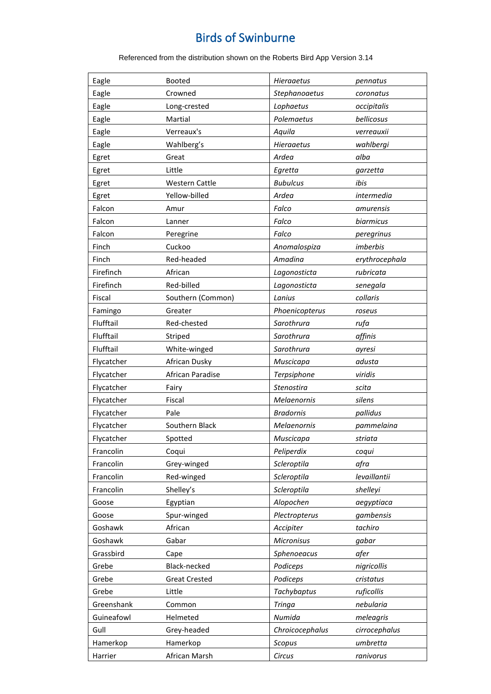| Eagle      | <b>Booted</b>         | Hieraaetus        | pennatus       |
|------------|-----------------------|-------------------|----------------|
| Eagle      | Crowned               | Stephanoaetus     | coronatus      |
| Eagle      | Long-crested          | Lophaetus         | occipitalis    |
| Eagle      | Martial               | Polemaetus        | bellicosus     |
| Eagle      | Verreaux's            | Aquila            | verreauxii     |
| Eagle      | Wahlberg's            | <b>Hieraaetus</b> | wahlbergi      |
| Egret      | Great                 | Ardea             | alba           |
| Egret      | Little                | Egretta           | garzetta       |
| Egret      | <b>Western Cattle</b> | <b>Bubulcus</b>   | ibis           |
| Egret      | Yellow-billed         | Ardea             | intermedia     |
| Falcon     | Amur                  | Falco             | amurensis      |
| Falcon     | Lanner                | Falco             | biarmicus      |
| Falcon     | Peregrine             | Falco             | peregrinus     |
| Finch      | Cuckoo                | Anomalospiza      | imberbis       |
| Finch      | Red-headed            | Amadina           | erythrocephala |
| Firefinch  | African               | Lagonosticta      | rubricata      |
| Firefinch  | Red-billed            | Lagonosticta      | senegala       |
| Fiscal     | Southern (Common)     | Lanius            | collaris       |
| Famingo    | Greater               | Phoenicopterus    | roseus         |
| Flufftail  | Red-chested           | Sarothrura        | rufa           |
| Flufftail  | Striped               | Sarothrura        | affinis        |
| Flufftail  | White-winged          | Sarothrura        | ayresi         |
| Flycatcher | African Dusky         | Muscicapa         | adusta         |
| Flycatcher | African Paradise      | Terpsiphone       | viridis        |
| Flycatcher | Fairy                 | Stenostira        | scita          |
| Flycatcher | Fiscal                | Melaenornis       | silens         |
| Flycatcher | Pale                  | <b>Bradornis</b>  | pallidus       |
| Flycatcher | Southern Black        | Melaenornis       | pammelaina     |
| Flycatcher | Spotted               | Muscicapa         | striata        |
| Francolin  | Coqui                 | Peliperdix        | coqui          |
| Francolin  | Grey-winged           | Scleroptila       | afra           |
| Francolin  | Red-winged            | Scleroptila       | levaillantii   |
| Francolin  | Shelley's             | Scleroptila       | shelleyi       |
| Goose      | Egyptian              | Alopochen         | aegyptiaca     |
| Goose      | Spur-winged           | Plectropterus     | gambensis      |
| Goshawk    | African               | Accipiter         | tachiro        |
| Goshawk    | Gabar                 | Micronisus        | gabar          |
| Grassbird  | Cape                  | Sphenoeacus       | afer           |
| Grebe      | Black-necked          | Podiceps          | nigricollis    |
| Grebe      | <b>Great Crested</b>  | Podiceps          | cristatus      |
| Grebe      | Little                | Tachybaptus       | ruficollis     |
| Greenshank |                       |                   |                |
|            | Common                | <b>Tringa</b>     | nebularia      |
| Guineafowl | Helmeted              | Numida            | meleagris      |
| Gull       | Grey-headed           | Chroicocephalus   | cirrocephalus  |
| Hamerkop   | Hamerkop              | Scopus            | umbretta       |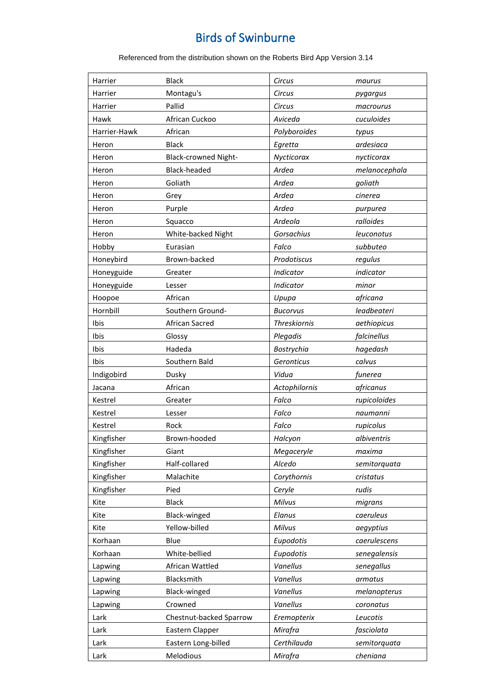| Harrier      | <b>Black</b>                | Circus              | maurus        |
|--------------|-----------------------------|---------------------|---------------|
| Harrier      | Montagu's                   | Circus              | pygargus      |
| Harrier      | Pallid                      | Circus              | macrourus     |
| Hawk         | African Cuckoo              | Aviceda             | cuculoides    |
| Harrier-Hawk | African                     | Polyboroides        | typus         |
| Heron        | <b>Black</b>                | Egretta             | ardesiaca     |
| Heron        | <b>Black-crowned Night-</b> | Nycticorax          | nycticorax    |
| Heron        | Black-headed                | Ardea               | melanocephala |
| Heron        | Goliath                     | Ardea               | goliath       |
| Heron        | Grey                        | Ardea               | cinerea       |
| Heron        | Purple                      | Ardea               | purpurea      |
| Heron        | Squacco                     | Ardeola             | ralloides     |
| Heron        | White-backed Night          | Gorsachius          | leuconotus    |
| Hobby        | Eurasian                    | Falco               | subbuteo      |
| Honeybird    | Brown-backed                | Prodotiscus         | regulus       |
| Honeyguide   | Greater                     | Indicator           | indicator     |
| Honeyguide   | Lesser                      | Indicator           | minor         |
| Hoopoe       | African                     | Upupa               | africana      |
| Hornbill     | Southern Ground-            | <b>Bucorvus</b>     | leadbeateri   |
| Ibis         | African Sacred              | <b>Threskiornis</b> | aethiopicus   |
| Ibis         | Glossy                      | Plegadis            | falcinellus   |
| Ibis         | Hadeda                      | Bostrychia          | hagedash      |
| Ibis         | Southern Bald               | Geronticus          | calvus        |
| Indigobird   | Dusky                       | Vidua               | funerea       |
| Jacana       | African                     | Actophilornis       | africanus     |
| Kestrel      | Greater                     | Falco               | rupicoloides  |
| Kestrel      | Lesser                      | Falco               | naumanni      |
| Kestrel      | Rock                        | Falco               | rupicolus     |
| Kingfisher   | Brown-hooded                | Halcyon             | albiventris   |
| Kingfisher   | Giant                       | Megaceryle          | maxima        |
| Kingfisher   | Half-collared               | Alcedo              | semitorquata  |
| Kingfisher   | Malachite                   | Corythornis         | cristatus     |
| Kingfisher   | Pied                        | Ceryle              | rudis         |
| Kite         | <b>Black</b>                | Milvus              | migrans       |
| Kite         | Black-winged                | Elanus              | caeruleus     |
| Kite         | Yellow-billed               | Milvus              | aegyptius     |
| Korhaan      | Blue                        | Eupodotis           | caerulescens  |
| Korhaan      | White-bellied               | Eupodotis           | senegalensis  |
| Lapwing      | African Wattled             | Vanellus            | senegallus    |
| Lapwing      | Blacksmith                  | Vanellus            | armatus       |
| Lapwing      | Black-winged                | Vanellus            | melanopterus  |
| Lapwing      | Crowned                     | Vanellus            | coronatus     |
| Lark         | Chestnut-backed Sparrow     | Eremopterix         | Leucotis      |
| Lark         | Eastern Clapper             | Mirafra             | fasciolata    |
| Lark         | Eastern Long-billed         | Certhilauda         | semitorquata  |
| Lark         | Melodious                   | Mirafra             | cheniana      |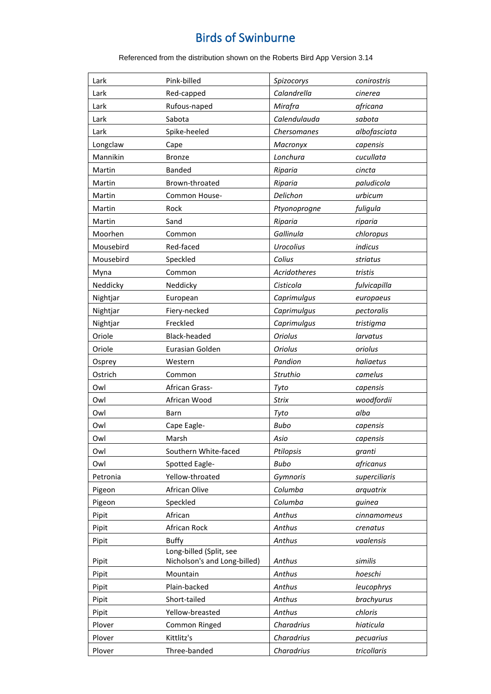| Lark      | Pink-billed                                             | Spizocorys          | conirostris   |
|-----------|---------------------------------------------------------|---------------------|---------------|
| Lark      | Red-capped                                              | Calandrella         | cinerea       |
| Lark      | Rufous-naped                                            | Mirafra             | africana      |
| Lark      | Sabota                                                  | Calendulauda        | sabota        |
| Lark      | Spike-heeled                                            | Chersomanes         | albofasciata  |
| Longclaw  | Cape                                                    | Macronyx            | capensis      |
| Mannikin  | <b>Bronze</b>                                           | Lonchura            | cucullata     |
| Martin    | <b>Banded</b>                                           | Riparia             | cincta        |
| Martin    | Brown-throated                                          | Riparia             | paludicola    |
| Martin    | Common House-                                           | Delichon            | urbicum       |
| Martin    | Rock                                                    | Ptyonoprogne        | fuligula      |
| Martin    | Sand                                                    | Riparia             | riparia       |
| Moorhen   | Common                                                  | Gallinula           | chloropus     |
| Mousebird | Red-faced                                               | <b>Urocolius</b>    | indicus       |
| Mousebird | Speckled                                                | Colius              | striatus      |
| Myna      | Common                                                  | <b>Acridotheres</b> | tristis       |
| Neddicky  | Neddicky                                                | Cisticola           | fulvicapilla  |
| Nightjar  | European                                                | Caprimulgus         | europaeus     |
| Nightjar  | Fiery-necked                                            | Caprimulgus         | pectoralis    |
| Nightjar  | Freckled                                                | Caprimulgus         | tristigma     |
| Oriole    | <b>Black-headed</b>                                     | <b>Oriolus</b>      | larvatus      |
| Oriole    | Eurasian Golden                                         | <b>Oriolus</b>      | oriolus       |
| Osprey    | Western                                                 | Pandion             | haliaetus     |
| Ostrich   | Common                                                  | Struthio            | camelus       |
| Owl       | African Grass-                                          | Tyto                | capensis      |
| Owl       | African Wood                                            | <b>Strix</b>        | woodfordii    |
| Owl       | <b>Barn</b>                                             | Tyto                | alba          |
| Owl       | Cape Eagle-                                             | <b>Bubo</b>         | capensis      |
| Owl       | Marsh                                                   | Asio                | capensis      |
| Owl       | Southern White-faced                                    | Ptilopsis           | granti        |
| Owl       | Spotted Eagle-                                          | <b>Bubo</b>         | africanus     |
| Petronia  | Yellow-throated                                         | Gymnoris            | superciliaris |
| Pigeon    | African Olive                                           | Columba             | arquatrix     |
| Pigeon    | Speckled                                                | Columba             | guinea        |
| Pipit     | African                                                 | Anthus              | cinnamomeus   |
| Pipit     | African Rock                                            | Anthus              | crenatus      |
| Pipit     | <b>Buffy</b>                                            | Anthus              | vaalensis     |
| Pipit     | Long-billed (Split, see<br>Nicholson's and Long-billed) | Anthus              | similis       |
| Pipit     | Mountain                                                | Anthus              | hoeschi       |
| Pipit     | Plain-backed                                            | Anthus              | leucophrys    |
| Pipit     | Short-tailed                                            | Anthus              | brachyurus    |
| Pipit     | Yellow-breasted                                         | Anthus              | chloris       |
| Plover    | Common Ringed                                           | Charadrius          | hiaticula     |
| Plover    | Kittlitz's                                              | Charadrius          | pecuarius     |
|           | Three-banded                                            | Charadrius          | tricollaris   |
| Plover    |                                                         |                     |               |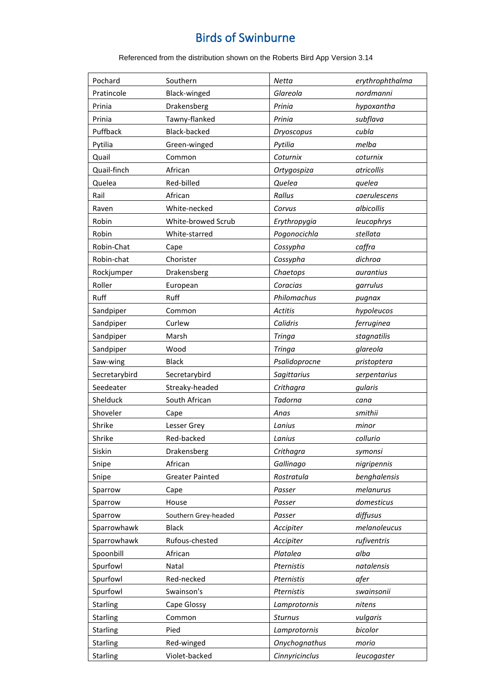| Pochard         | Southern               | Netta          | erythrophthalma |
|-----------------|------------------------|----------------|-----------------|
| Pratincole      | Black-winged           | Glareola       | nordmanni       |
| Prinia          | Drakensberg            | Prinia         | hypoxantha      |
| Prinia          | Tawny-flanked          | Prinia         | subflava        |
| Puffback        | Black-backed           | Dryoscopus     | cubla           |
| Pytilia         | Green-winged           | Pytilia        | melba           |
| Quail           | Common                 | Coturnix       | coturnix        |
| Quail-finch     | African                | Ortygospiza    | atricollis      |
| Quelea          | Red-billed             | Quelea         | quelea          |
| Rail            | African                | Rallus         | caerulescens    |
| Raven           | White-necked           | Corvus         | albicollis      |
| Robin           | White-browed Scrub     | Erythropygia   | leucophrys      |
| Robin           | White-starred          | Pogonocichla   | stellata        |
| Robin-Chat      | Cape                   | Cossypha       | caffra          |
| Robin-chat      | Chorister              | Cossypha       | dichroa         |
| Rockjumper      | Drakensberg            | Chaetops       | aurantius       |
| Roller          | European               | Coracias       | garrulus        |
| Ruff            | Ruff                   | Philomachus    | pugnax          |
| Sandpiper       | Common                 | <b>Actitis</b> | hypoleucos      |
| Sandpiper       | Curlew                 | Calidris       | ferruginea      |
| Sandpiper       | Marsh                  | <b>Tringa</b>  | stagnatilis     |
| Sandpiper       | Wood                   | <b>Tringa</b>  | glareola        |
| Saw-wing        | <b>Black</b>           | Psalidoprocne  | pristoptera     |
| Secretarybird   | Secretarybird          | Sagittarius    | serpentarius    |
| Seedeater       | Streaky-headed         | Crithagra      | gularis         |
| Shelduck        | South African          | Tadorna        | cana            |
| Shoveler        | Cape                   | Anas           | smithii         |
| Shrike          | Lesser Grey            | Lanius         | minor           |
| Shrike          | Red-backed             | Lanius         | collurio        |
| Siskin          | Drakensberg            | Crithagra      | symonsi         |
| Snipe           | African                | Gallinago      | nigripennis     |
| Snipe           | <b>Greater Painted</b> | Rostratula     | benghalensis    |
| Sparrow         | Cape                   | Passer         | melanurus       |
| Sparrow         | House                  | Passer         | domesticus      |
| Sparrow         | Southern Grey-headed   | Passer         | diffusus        |
| Sparrowhawk     | <b>Black</b>           | Accipiter      | melanoleucus    |
| Sparrowhawk     | Rufous-chested         | Accipiter      | rufiventris     |
| Spoonbill       | African                | Platalea       | alba            |
| Spurfowl        | Natal                  | Pternistis     | natalensis      |
| Spurfowl        | Red-necked             | Pternistis     | afer            |
| Spurfowl        | Swainson's             | Pternistis     | swainsonii      |
| Starling        | Cape Glossy            | Lamprotornis   | nitens          |
| Starling        | Common                 | <b>Sturnus</b> | vulgaris        |
| Starling        | Pied                   | Lamprotornis   | bicolor         |
| Starling        | Red-winged             | Onychognathus  | morio           |
| <b>Starling</b> | Violet-backed          | Cinnyricinclus | leucogaster     |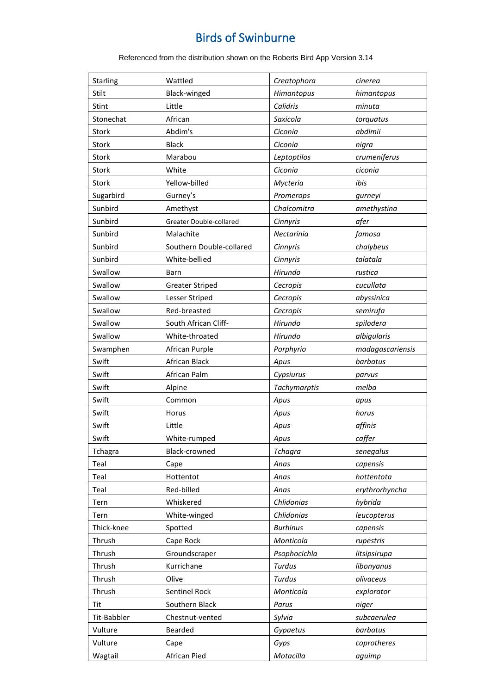| Starling    | Wattled                  | Creatophora     | cinerea          |
|-------------|--------------------------|-----------------|------------------|
| Stilt       | Black-winged             | Himantopus      | himantopus       |
| Stint       | Little                   | Calidris        | minuta           |
| Stonechat   | African                  | Saxicola        | torquatus        |
| Stork       | Abdim's                  | Ciconia         | abdimii          |
| Stork       | <b>Black</b>             | Ciconia         | nigra            |
| Stork       | Marabou                  | Leptoptilos     | crumeniferus     |
| Stork       | White                    | Ciconia         | ciconia          |
| Stork       | Yellow-billed            | Mycteria        | ibis             |
| Sugarbird   | Gurney's                 | Promerops       | gurneyi          |
| Sunbird     | Amethyst                 | Chalcomitra     | amethystina      |
| Sunbird     | Greater Double-collared  | Cinnyris        | afer             |
| Sunbird     | Malachite                | Nectarinia      | famosa           |
| Sunbird     | Southern Double-collared | Cinnyris        | chalybeus        |
| Sunbird     | White-bellied            | Cinnyris        | talatala         |
| Swallow     | Barn                     | Hirundo         | rustica          |
| Swallow     | <b>Greater Striped</b>   | Cecropis        | cucullata        |
| Swallow     | Lesser Striped           |                 | abyssinica       |
|             |                          | Cecropis        |                  |
| Swallow     | Red-breasted             | Cecropis        | semirufa         |
| Swallow     | South African Cliff-     | Hirundo         | spilodera        |
| Swallow     | White-throated           | Hirundo         | albigularis      |
| Swamphen    | African Purple           | Porphyrio       | madagascariensis |
| Swift       | African Black            | Apus            | barbatus         |
| Swift       | African Palm             | Cypsiurus       | parvus           |
| Swift       | Alpine                   | Tachymarptis    | melba            |
| Swift       | Common                   | Apus            | apus             |
| Swift       | Horus                    | Apus            | horus            |
| Swift       | Little                   | Apus            | affinis          |
| Swift       | White-rumped             | Apus            | caffer           |
| Tchagra     | Black-crowned            | <b>Tchagra</b>  | senegalus        |
| Teal        | Cape                     | Anas            | capensis         |
| Teal        | Hottentot                | Anas            | hottentota       |
| Teal        | Red-billed               | Anas            | erythrorhyncha   |
| Tern        | Whiskered                | Chlidonias      | hybrida          |
| Tern        | White-winged             | Chlidonias      | leucopterus      |
| Thick-knee  | Spotted                  | <b>Burhinus</b> | capensis         |
| Thrush      | Cape Rock                | Monticola       | rupestris        |
| Thrush      | Groundscraper            | Psophocichla    | litsipsirupa     |
| Thrush      | Kurrichane               | Turdus          | libonyanus       |
| Thrush      | Olive                    | <b>Turdus</b>   | olivaceus        |
| Thrush      | Sentinel Rock            | Monticola       | explorator       |
| Tit         | Southern Black           | Parus           | niger            |
| Tit-Babbler | Chestnut-vented          | Sylvia          | subcaerulea      |
| Vulture     | Bearded                  | Gypaetus        | barbatus         |
|             |                          |                 |                  |
| Vulture     | Cape                     | Gyps            | coprotheres      |
| Wagtail     | African Pied             | Motacilla       | aguimp           |